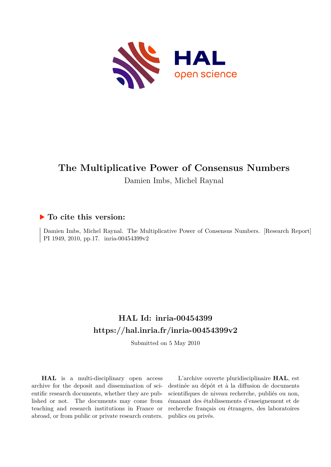

# **The Multiplicative Power of Consensus Numbers** Damien Imbs, Michel Raynal

# **To cite this version:**

Damien Imbs, Michel Raynal. The Multiplicative Power of Consensus Numbers. [Research Report] PI 1949, 2010, pp.17. inria-00454399v2

# **HAL Id: inria-00454399 <https://hal.inria.fr/inria-00454399v2>**

Submitted on 5 May 2010

**HAL** is a multi-disciplinary open access archive for the deposit and dissemination of scientific research documents, whether they are published or not. The documents may come from teaching and research institutions in France or abroad, or from public or private research centers.

L'archive ouverte pluridisciplinaire **HAL**, est destinée au dépôt et à la diffusion de documents scientifiques de niveau recherche, publiés ou non, émanant des établissements d'enseignement et de recherche français ou étrangers, des laboratoires publics ou privés.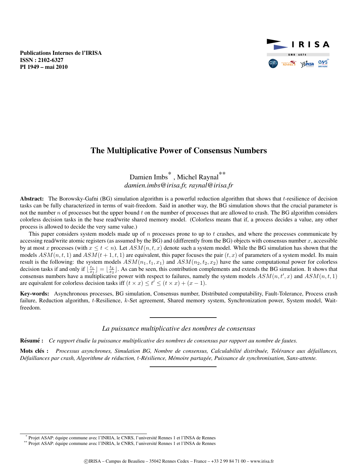Publications Internes de l'IRISA ISSN : 2102-6327 PI 1949 – mai 2010



# The Multiplicative Power of Consensus Numbers

# Damien Imbs\* , Michel Raynal\*\* *damien.imbs@irisa.fr, raynal@irisa.fr*

Abstract: The Borowsky-Gafni (BG) simulation algorithm is a powerful reduction algorithm that shows that  $t$ -resilience of decision tasks can be fully characterized in terms of wait-freedom. Said in another way, the BG simulation shows that the crucial parameter is not the number n of processes but the upper bound t on the number of processes that are allowed to crash. The BG algorithm considers colorless decision tasks in the base read/write shared memory model. (Colorless means that if, a process decides a value, any other process is allowed to decide the very same value.)

This paper considers system models made up of  $n$  processes prone to up to  $t$  crashes, and where the processes communicate by accessing read/write atomic registers (as assumed by the BG) and (differently from the BG) objects with consensus number  $x$ , accessible by at most x processes (with  $x \le t < n$ ). Let  $ASM(n, t, x)$  denote such a system model. While the BG simulation has shown that the models  $ASM(n, t, 1)$  and  $ASM(t + 1, t, 1)$  are equivalent, this paper focuses the pair  $(t, x)$  of parameters of a system model. Its main result is the following: the system models  $ASM(n_1, t_1, x_1)$  and  $ASM(n_2, t_2, x_2)$  have the same computational power for colorless decision tasks if and only if  $\lfloor \frac{t_1}{x_1} \rfloor = \lfloor \frac{t_2}{x_2} \rfloor$ . As can be seen, this contribution complements and extends the BG simulation. It shows that consensus numbers have a multiplicative power with respect to failures, namely the system models  $ASM(n, t', x)$  and  $ASM(n, t, 1)$ are equivalent for colorless decision tasks iff  $(t \times x) \le t' \le (t \times x) + (x - 1)$ .

Key-words: Asynchronous processes, BG simulation, Consensus number, Distributed computability, Fault-Tolerance, Process crash failure, Reduction algorithm, t-Resilience, k-Set agreement, Shared memory system, Synchronization power, System model, Waitfreedom.

### *La puissance multiplicative des nombres de consensus*

Résumé : Ce rapport étudie la puissance multiplicative des nombres de consensus par rapport au nombre de fautes.

Mots clés : Processus asynchrones, Simulation BG, Nombre de consensus, Calculabilité distribuée, Tolérance aux défaillances, *Defaillances par crash, Algorithme de r ´ eduction, ´* t*-Resilience, M ´ emoire partag ´ ee, Puissance de synchronisation, Sans-attente. ´*

<sup>&#</sup>x27;Projet ASAP: équipe commune avec l'INRIA, le CNRS, l'université Rennes 1 et l'INSA de Rennes

<sup>\*\*</sup> Projet ASAP: équipe commune avec l'INRIA, le CNRS, l'université Rennes 1 et l'INSA de Rennes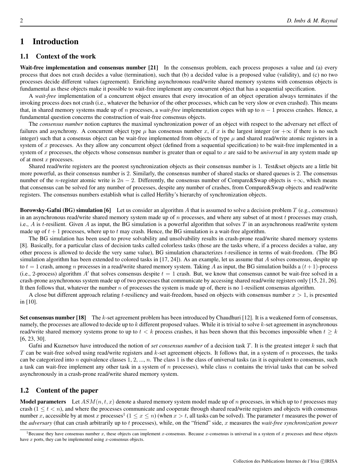### 1.1 Context of the work

Wait-free implementation and consensus number [21] In the consensus problem, each process proposes a value and (a) every process that does not crash decides a value (termination), such that (b) a decided value is a proposed value (validity), and (c) no two processes decide different values (agreement). Enriching asynchronous read/write shared memory systems with consensus objects is fundamental as these objects make it possible to wait-free implement any concurrent object that has a sequential specification.

A *wait-free* implementation of a concurrent object ensures that every invocation of an object operation always terminates if the invoking process does not crash (i.e., whatever the behavior of the other processes, which can be very slow or even crashed). This means that, in shared memory systems made up of n processes, a *wait-free* implementation copes with up to n − 1 process crashes. Hence, a fundamental question concerns the construction of wait-free consensus objects.

The *consensus number* notion captures the maximal synchronization power of an object with respect to the adversary net effect of failures and asynchrony. A concurrent object type  $\mu$  has consensus number x, if x is the largest integer (or  $+\infty$  if there is no such integer) such that a consensus object can be wait-free implemented from objects of type  $\mu$  and shared read/write atomic registers in a system of  $x$  processes. As they allow any concurrent object (defined from a sequential specification) to be wait-free implemented in a system of x processes, the objects whose consensus number is greater than or equal to x are said to be *universal* in any system made up of at most x processes.

Shared read/write registers are the poorest synchronization objects as their consensus number is 1. Test&set objects are a little bit more powerful, as their consensus number is 2. Similarly, the consensus number of shared stacks or shared queues is 2. The consensus number of the n-register atomic write is  $2n - 2$ . Differently, the consensus number of Compare&Swap objects is  $+\infty$ , which means that consensus can be solved for any number of processes, despite any number of crashes, from Compare&Swap objects and read/write registers. The consensus numbers establish what is called Herlihy's hierarchy of synchronization objects.

**Borowsky-Gafni (BG) simulation [6]** Let us consider an algorithm A that is assumed to solve a decision problem T (e.g., consensus) in an asynchronous read/write shared memory system made up of  $n$  processes, and where any subset of at most  $t$  processes may crash, i.e., A is t-resilient. Given A as input, the BG simulation is a powerful algorithm that solves  $T$  in an asynchronous read/write system made up of  $t + 1$  processes, where up to t may crash. Hence, the BG simulation is a wait-free algorithm.

The BG simulation has been used to prove solvability and unsolvability results in crash-prone read/write shared memory systems [8]. Basically, for a particular class of decision tasks called colorless tasks (those are the tasks where, if a process decides a value, any other process is allowed to decide the very same value), BG simulation characterizes  $t$ -resilience in terms of wait-freedom. (The BG simulation algorithm has been extended to colored tasks in  $[17, 24]$ ). As an example, let us assume that A solves consensus, despite up to  $t = 1$  crash, among n processes in a read/write shared memory system. Taking A as input, the BG simulation builds a  $(t + 1)$ -process (i.e., 2-process) algorithm  $A'$  that solves consensus despite  $t = 1$  crash. But, we know that consensus cannot be wait-free solved in a crash-prone asynchronous system made up of two processes that communicate by accessing shared read/write registers only [15, 21, 26]. It then follows that, whatever the number  $n$  of processes the system is made up of, there is no 1-resilient consensus algorithm.

A close but different approach relating t-resiliency and wait-freedom, based on objects with consensus number  $x > 1$ , is presented in [10].

Set consensus number [18] The k-set agreement problem has been introduced by Chaudhuri [12]. It is a weakened form of consensus, namely, the processes are allowed to decide up to  $k$  different proposed values. While it is trivial to solve  $k$ -set agreement in asynchronous read/write shared memory systems prone to up to  $t < k$  process crashes, it has been shown that this becomes impossible when  $t \geq k$ [6, 23, 30].

Gafni and Kuznetsov have introduced the notion of *set consensus number* of a decision task T. It is the greatest integer k such that  $T$  can be wait-free solved using read/write registers and  $k$ -set agreement objects. It follows that, in a system of  $n$  processes, the tasks can be categorized into  $n$  equivalence classes 1, 2, ...,  $n$ . The class 1 is the class of universal tasks (as it is equivalent to consensus, such a task can wait-free implement any other task in a system of  $n$  processes), while class  $n$  contains the trivial tasks that can be solved asynchronously in a crash-prone read/write shared memory system.

### 1.2 Content of the paper

**Model parameters** Let  $ASM(n, t, x)$  denote a shared memory system model made up of n processes, in which up to t processes may crash  $(1 \leq t < n)$ , and where the processes communicate and cooperate through shared read/write registers and objects with consensus number x, accessible by at most x processes<sup>1</sup> ( $1 \le x \le n$ ) (when  $x > t$ , all tasks can be solved). The parameter t measures the power of the *adversary* (that can crash arbitrarily up to t processes), while, on the "friend" side, x measures the *wait-free synchronization power*

<sup>&</sup>lt;sup>1</sup>Because they have consensus number x, these objects can implement x-consensus. Because x-consensus is universal in a system of x processes and these objects have  $x$  ports, they can be implemented using  $x$ -consensus objects.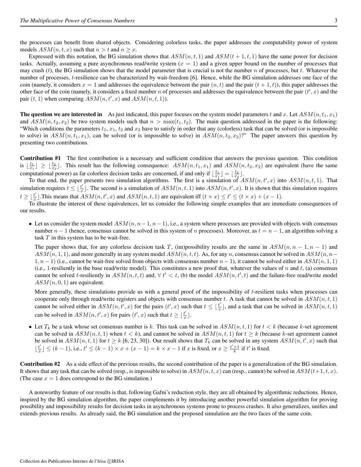the processes can benefit from shared objects. Considering colorless tasks, the paper addresses the computability power of system models  $ASM(n, t, x)$  such that  $n > t$  and  $n > x$ .

Expressed with this notation, the BG simulation shows that  $ASM(n, t, 1)$  and  $ASM(t + 1, t, 1)$  have the same power for decision tasks. Actually, assuming a pure asynchronous read/write system  $(x = 1)$  and a given upper bound on the number of processes that may crash  $(t)$ , the BG simulation shows that the model parameter that is crucial is not the number n of processes, but t. Whatever the number of processes, t-resilience can be characterized by wait-freedom [6]. Hence, while the BG simulation addresses one face of the coin (namely, it considers  $x = 1$  and addresses the equivalence between the pair  $(n, t)$  and the pair  $(t + 1, t)$ ), this paper addresses the other face of the coin (namely, it considers a fixed number n of processes and addresses the equivalence between the pair  $(t', x)$  and the pair  $(t, 1)$  when comparing  $ASM(n, t', x)$  and  $ASM(n, t, 1)$ ).

The question we are interested in As just indicated, this paper focuses on the system model parameters t and x. Let  $ASM(n, t_1, x_1)$ and  $ASM(n, t_2, x_2)$  be two system models such that  $n > \max(t_1, t_2)$ . The main question addressed in the paper is the following: "Which conditions the parameters  $t_1$ ,  $x_1$ ,  $t_2$  and  $x_2$  have to satisfy in order that any (colorless) task that can be solved (or is impossible to solve) in  $ASM(n, t_1, x_1)$ , can be solved (or is impossible to solve) in  $ASM(n, t_2, x_2)$ ?" The paper answers this question by presenting two contributions.

Contribution #1 The first contribution is a necessary and sufficient condition that answers the previous question. This condition is  $\lfloor \frac{t_1}{x_1} \rfloor \ge \lfloor \frac{t_2}{x_2} \rfloor$ . This result has the following consequence:  $ASM(n, t_1, x_1)$  and  $ASM(n, t_2, x_2)$  are equivalent (have the same computational power) as far colorless decision tasks are concerned, if and only if  $\lfloor \frac{t_1}{x_1} \rfloor = \lfloor \frac{t_2}{x_2} \rfloor$ .

To that end, the paper presents two simulation algorithms. The first is a simulation of  $ASM(n, t', x)$  into  $ASM(n, t, 1)$ . That simulation requires  $t \leq \lfloor \frac{t'}{r} \rfloor$  $\frac{t'}{x}$ . The second is a simulation of  $ASM(n, t, 1)$  into  $ASM(n, t', x)$ . It is shown that this simulation requires  $t \geq \lfloor \frac{t'}{x} \rfloor$  $\frac{t'}{x}$ . This means that  $ASM(n, t', x)$  and  $ASM(n, t, 1)$  are equivalent iff  $(t \times x) \le t' \le (t \times x) + (x - 1)$ .

To illustrate the interest of these equivalences, let us consider the following simple examples that are immediate consequences of our results.

• Let us consider the system model  $ASM(n, n-1, n-1)$ , i.e., a system where processes are provided with objects with consensus number  $n-1$  (hence, consensus cannot be solved in this system of n processes). Moreover, as  $t = n-1$ , an algorithm solving a task  $T$  in this system has to be wait-free.

The paper shows that, for any colorless decision task T, (im)possibility results are the same in  $ASM(n, n-1, n-1)$  and  $ASM(n, 1, 1)$ , and more generally in any system model  $ASM(n, t, t)$ . As, for any n, consensus cannot be solved in  $ASM(n, n-1)$  $1, n-1$ ) (i.e., cannot be wait-free solved from objects with consensus number  $n-1$ ), it cannot be solved either in  $ASM(n, 1, 1)$ (i.e., 1-resiliently in the base read/write model). This constitutes a new proof that, whatever the values of n and t, (a) consensus cannot be solved t-resiliently in  $ASM(n, t, t)$  and,  $\forall t' < t$ , (b) the model  $ASM(n, t', t)$  and the failure-free read/write model  $ASM(n, 0, 1)$  are equivalent.

More generally, these simulations provide us with a general proof of the impossibility of t-resilient tasks when processes can cooperate only through read/write registers and objects with consensus number t. A task that cannot be solved in  $ASM(n, t, 1)$ cannot be solved either in  $ASM(n, t', x)$  for the pairs  $(t', x)$  such that  $t \leq \lfloor \frac{t'}{x} \rfloor$  $\lfloor \frac{t'}{x} \rfloor$ , and a task that can be solved in  $ASM(n, t, 1)$ can be solved in  $ASM(n, t', x)$  for pairs  $(t', x)$  such that  $t \geq \lfloor \frac{t'}{x} \rfloor$  $\frac{t'}{x}$ .

• Let  $T_k$  be a task whose set consensus number is k. This task can be solved in  $ASM(n,t,1)$  for  $t < k$  (because k-set agreement can be solved in  $ASM(n, t, 1)$  when  $t < k$ ), and cannot be solved in  $ASM(n, t, 1)$  for  $t \ge k$  (because k-set agreement cannot be solved in  $ASM(n, t, 1)$  for  $t \ge k$  [6, 23, 30]). Our result shows that  $T_k$  can be solved in any system  $ASM(n, t', x)$  such that  $\frac{t'}{x}$  $\lfloor \frac{t'}{x} \rfloor \le (k-1)$ , i.e.,  $t' \le (k-1) \times x + (x-1) = k \times x - 1$  if x is fixed, or  $x \ge \frac{t'+1}{k}$  if t' is fixed.

Contribution #2 As a side effect of the previous results, the second contribution of the paper is a generalization of the BG simulation. It shows that any task that can be solved (resp., is impossible to solve) in  $ASM(n, t, x)$  can (resp., cannot) be solved in  $ASM(t+1, t, x)$ . (The case  $x = 1$  does correspond to the BG simulation.)

A noteworthy feature of our results is that, following Gafni's reduction style, they are all obtained by algorithmic reductions. Hence, inspired by the BG simulation algorithm, the paper complements it by introducing another powerful simulation algorithm for proving possibility and impossibility results for decision tasks in asynchronous systems prone to process crashes. It also generalizes, unifies and extends previous results. As already said, the BG simulation and the proposed simulation are the two faces of the same coin.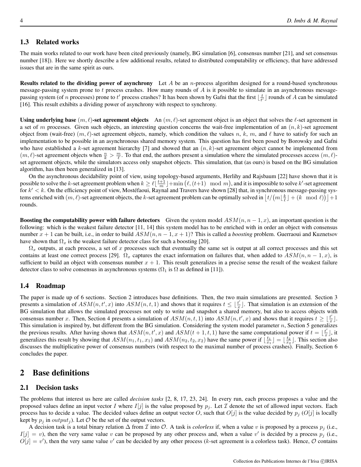### 1.3 Related works

The main works related to our work have been cited previously (namely, BG simulation [6], consensus number [21], and set consensus number [18]). Here we shortly describe a few additional results, related to distributed computability or efficiency, that have addressed issues that are in the same spirit as ours.

**Results related to the dividing power of asynchrony** Let  $A$  be an n-process algorithm designed for a round-based synchronous message-passing system prone to  $t$  process crashes. How many rounds of  $A$  is it possible to simulate in an asynchronous messagepassing system (of *n* processes) prone to t' process crashes? It has been shown by Gafni that the first  $\lfloor \frac{t}{t'} \rfloor$  rounds of *A* can be simulated [16]. This result exhibits a dividing power of asynchrony with respect to synchrony.

Using underlying base  $(m, \ell)$ -set agreement objects An  $(m, \ell)$ -set agreement object is an object that solves the  $\ell$ -set agreement in a set of m processes. Given such objects, an interesting question concerns the wait-free implementation of an  $(n, k)$ -set agreement object from (wait-free)  $(m, \ell)$ -set agreement objects, namely, which condition the values n, k, m, and  $\ell$  have to satisfy for such an implementation to be possible in an asynchronous shared memory system. This question has first been posed by Borowsky and Gafni who have established a k-set agreement hierarchy [7] and showed that an  $(n, k)$ -set agreement object cannot be implemented from  $(m, \ell)$ -set agreement objects when  $\frac{n}{k} > \frac{m}{\ell}$ . To that end, the authors present a simulation where the simulated processes access  $(m, \ell)$ set agreement objects, while the simulators access only snapshot objects. This simulation, that (as ours) is based on the BG simulation algorithm, has then been generalized in [13].

On the asynchronous decidability point of view, using topology-based arguments, Herlihy and Rajsbaum [22] have shown that it is possible to solve the k-set agreement problem when  $k \geq \ell \lfloor \frac{t+1}{m} \rfloor + \min \left( \ell, (t+1) \mod m \right)$ , and it is impossible to solve k'-set agreement for  $k' < k$ . On the efficiency point of view, Mostéfaoui, Raynal and Travers have shown [28] that, in synchronous message-passing systems enriched with  $(m,\ell)$ -set agreement objects, the k-set agreement problem can be optimally solved in  $\lfloor t/(m\lfloor\frac{k}{\ell}\rfloor+(k\mod\ell))\rfloor+1$ rounds.

Boosting the computability power with failure detectors Given the system model  $ASM(n, n-1, x)$ , an important question is the following: which is the weakest failure detector [11, 14] this system model has to be enriched with in order an object with consensus number  $x + 1$  can be built, i.e., in order to build  $ASM(n, n - 1, x + 1)$ ? This is called a *boosting* problem. Guerraoui and Kuznetsov have shown that  $\Omega_x$  is the weakest failure detector class for such a boosting [20].

 $\Omega_x$  outputs, at each process, a set of x processes such that eventually the same set is output at all correct processes and this set contains at least one correct process [29].  $\Omega_x$  captures the exact information on failures that, when added to  $ASM(n, n - 1, x)$ , is sufficient to build an object with consensus number  $x + 1$ . This result generalizes in a precise sense the result of the weakest failure detector class to solve consensus in asynchronous systems ( $\Omega_1$  is  $\Omega$  as defined in [11]).

#### 1.4 Roadmap

The paper is made up of 6 sections. Section 2 introduces base definitions. Then, the two main simulations are presented. Section 3 presents a simulation of  $ASM(n, t', x)$  into  $ASM(n, t, 1)$  and shows that it requires  $t \leq \lfloor \frac{t'}{x} \rfloor$  $\left[\frac{t'}{x}\right]$ . That simulation is an extension of the BG simulation that allows the simulated processes not only to write and snapshot a shared memory, but also to access objects with consensus number x. Then, Section 4 presents a simulation of  $ASM(n, t, 1)$  into  $ASM(n, t', x)$  and shows that it requires  $t \geq \lfloor \frac{t'}{x} \rfloor$  $\frac{t'}{x}$ . This simulation is inspired by, but different from the BG simulation. Considering the system model parameter n, Section 5 generalizes the previous results. After having shown that  $ASM(n, t', x)$  and  $ASM(t + 1, t, 1)$  have the same computational power if  $t = \lfloor \frac{t'}{t} \rfloor$  $\frac{t'}{x}$ , it generalizes this result by showing that  $ASM(n_1, t_1, x_1)$  and  $ASM(n_2, t_2, x_2)$  have the same power if  $\lfloor \frac{t_1}{x_1} \rfloor = \lfloor \frac{t_2}{x_2} \rfloor$ . This section also discusses the multiplicative power of consensus numbers (with respect to the maximal number of process crashes). Finally, Section 6 concludes the paper.

## 2 Base definitions

### 2.1 Decision tasks

The problems that interest us here are called *decision tasks* [2, 8, 17, 23, 24]. In every run, each process proposes a value and the proposed values define an input vector I where  $I[j]$  is the value proposed by  $p_j$ . Let T denote the set of allowed input vectors. Each process has to decide a value. The decided values define an output vector O, such that  $O[j]$  is the value decided by  $p_j$  ( $O[j]$  is locally kept by  $p_i$  in  $output_i$ ). Let  $\mathcal O$  be the set of the output vectors.

A decision task is a total binary relation  $\Delta$  from  $\mathcal I$  into  $\mathcal O$ . A task is *colorless* if, when a value v is proposed by a process  $p_j$  (i.e.,  $I[j] = v$ ), then the very same value v can be proposed by any other process and, when a value v' is decided by a process  $p_j$  (i.e.,  $O[j] = v'$ ), then the very same value  $v'$  can be decided by any other process (k-set agreement is a colorless task). Hence,  $O$  contains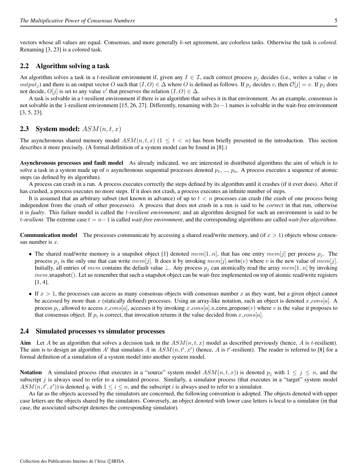vectors whose all values are equal. Consensus, and more generally k-set agreement, are colorless tasks. Otherwise the task is *colored*. Renaming [3, 23] is a colored task.

### 2.2 Algorithm solving a task

An algorithm solves a task in a t-resilient environment if, given any  $I \in \mathcal{I}$ , each correct process  $p_i$  decides (i.e., writes a value v in *output<sub>j</sub>*) and there is an output vector O such that  $(I, O) \in \Delta$  where O is defined as follows. If  $p_j$  decides v, then  $\mathcal{O}[j] = v$ . If  $p_j$  does not decide,  $O[j]$  is set to any value v' that preserves the relation  $(I, O) \in \Delta$ .

A task is solvable in a t-resilient environment if there is an algorithm that solves it in that environment. As an example, consensus is not solvable in the 1-resilient environment [15, 26, 27]. Differently, renaming with 2n−1 names is solvable in the wait-free environment [3, 5, 23].

### **2.3** System model:  $ASM(n, t, x)$

The asynchronous shared memory model  $ASM(n, t, x)$  ( $1 \leq t < n$ ) has been briefly presented in the introduction. This section describes it more precisely. (A formal definition of a system model can be found in [8].)

Asynchronous processes and fault model As already indicated, we are interested in distributed algorithms the aim of which is to solve a task in a system made up of n asynchronous sequential processes denoted  $p_1, ..., p_n$ . A process executes a sequence of atomic steps (as defined by its algorithm).

A process can crash in a run. A process executes correctly the steps defined by its algorithm until it crashes (if it ever does). After if has crashed, a process executes no more steps. If it does not crash, a process executes an infinite number of steps.

It is assumed that an arbitrary subset (not known in advance) of up to  $t < n$  processes can crash (the crash of one process being independent from the crash of other processes). A process that does not crash in a run is said to be *correct* in that run, otherwise it is *faulty*. This failure model is called the t*-resilient environment*, and an algorithm designed for such an environment is said to be t*-resilient*. The extreme case t = n−1 is called *wait-free environment*, and the corresponding algorithms are called *wait-free algorithms*.

**Communication model** The processes communicate by accessing a shared read/write memory, and (if  $x > 1$ ) objects whose consensus number is  $x$ .

- The shared read/write memory is a snapshot object [1] denoted mem[1..n], that has one entry mem[j] per process  $p_i$ . The process  $p_i$  is the only one that can write mem[j]. It does it by invoking mem[j].write(v) where v is the new value of mem[j]. Initially, all entries of mem contains the default value ⊥. Any process  $p_i$  can atomically read the array mem[1..n] by invoking  $mem.\mathsf{snapshot}()$ . Let us remember that such a snapshot object can be wait-free implemented on top of atomic read/write registers [1, 4].
- If  $x > 1$ , the processes can access as many consensus objects with consensus number x as they want, but a given object cannot be accessed by more than x (statically defined) processes. Using an array-like notation, such an object is denoted  $x_{cons}[a]$ . A process  $p_i$ , allowed to access  $x\_cons[a]$ , accesses it by invoking  $x\_cons[a]$ .x\_cons\_propose $(v)$  where  $v$  is the value it proposes to that consensus object. If  $p_i$  is correct, that invocation returns it the value decided from  $x\text{-}cons[a]$ .

#### 2.4 Simulated processes vs simulator processes

Aim Let A be an algorithm that solves a decision task in the  $ASM(n, t, x)$  model as described previously (hence, A is t-resilient). The aim is to design an algorithm A' that simulates A in  $ASM(n, t', x')$  (hence, A is t'-resilient). The reader is referred to [8] for a formal definition of a simulation of a system model into another system model.

**Notation** A simulated process (that executes in a "source" system model  $ASM(n, t, x)$ ) is denoted  $p_j$  with  $1 \leq j \leq n$ , and the subscript  $j$  is always used to refer to a simulated process. Similarly, a simulator process (that executes in a "target" system model  $ASM(n, t', x')$  is denoted  $q_i$  with  $1 \leq i \leq n$ , and the subscript i is always used to refer to a simulator.

As far as the objects accessed by the simulators are concerned, the following convention is adopted. The objects denoted with upper case letters are the objects shared by the simulators. Conversely, an object denoted with lower case letters is local to a simulator (in that case, the associated subscript denotes the corresponding simulator).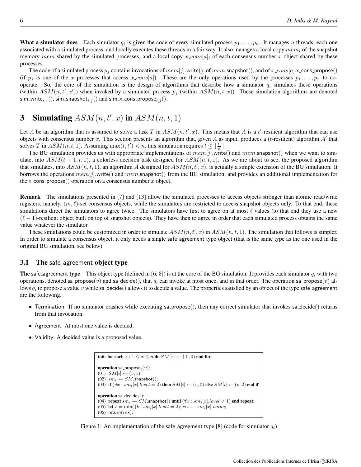**What a simulator does** Each simulator  $q_i$  is given the code of every simulated process  $p_1, \ldots, p_n$ . It manages *n* threads, each one associated with a simulated process, and locally executes these threads in a fair way. It also manages a local copy  $mem_i$  of the snapshot memory mem shared by the simulated processes, and a local copy  $x\text{-}cons[a]_i$  of each consensus number x object shared by these processes.

The code of a simulated process  $p_j$  contains invocations of  $mem[j]$ .write(), of mem.snapshot(), and of x cons[a].x cons propose() (if  $p_j$  is one of the x processes that access  $x \text{ } \text{cons}[a]$ ). These are the only operations used by the processes  $p_1, \ldots, p_n$  to cooperate. So, the core of the simulation is the design of algorithms that describe how a simulator  $q_i$  simulates these operations (within  $ASM(n, t', x')$ ) when invoked by a simulated process  $p_j$  (within  $ASM(n, t, x)$ ). These simulation algorithms are denoted sim write<sub>i,j</sub>(), sim snapshot<sub>i,j</sub>() and sim x cons propose<sub>i,j</sub>().

# 3 Simulating  $ASM(n, t', x)$  in  $ASM(n, t, 1)$

Let A be an algorithm that is assumed to solve a task T in  $ASM(n, t', x)$ . This means that A is a t'-resilient algorithm that can use objects with consensus number x. This section presents an algorithm that, given A as input, produces a (t-resilient) algorithm  $A'$  that solves T in  $ASM(n, t, 1)$ . Assuming  $\max(t, t') < n$ , this simulation requires  $t \leq \lfloor \frac{t'}{n} \rfloor$  $\frac{t'}{x}$ .

The BG simulation provides us with appropriate implementations of  $mem[j]$ .write() and  $mem$ .snapshot() when we want to simulate, into  $ASM(t + 1, t, 1)$ , a colorless decision task designed for  $ASM(n, t, 1)$ . As we are about to see, the proposed algorithm that simulates, into  $ASM(n, t, 1)$ , an algorithm A designed for  $ASM(n, t', x)$ , is actually a simple extension of the BG simulation. It borrows the operations  $mem[j]$ .write() and  $mem$ .snapshot() from the BG simulation, and provides an additional implementation for the x\_cons\_propose() operation on a consensus number  $x$  object.

Remark The simulations presented in [7] and [13] allow the simulated processes to access objects stronger than atomic read/write registers, namely,  $(m, \ell)$ -set consensus objects, while the simulators are restricted to access snapshot objects only. To that end, these simulations direct the simulators to agree twice. The simulators have first to agree on at most  $\ell$  values (to that end they use a new  $(\ell - 1)$ -resilient object built on top of snapshot objects). They have then to agree in order that each simulated process obtains the same value whatever the simulator.

These simulations could be customized in order to simulate  $ASM(n, t', x)$  in  $ASM(n, t, 1)$ . The simulation that follows is simpler. In order to simulate a consensus object, it only needs a single safe agreement type object (that is the same type as the one used in the original BG simulation, see below).

### 3.1 The safe\_agreement object type

**The** safe agreement type This object type (defined in [6, 8]) is at the core of the BG simulation. It provides each simulator  $q_i$  with two operations, denoted sa propose(v) and sa decide(), that  $q_i$  can invoke at most once, and in that order. The operation sa propose(v) allows  $q_i$  to propose a value  $v$  while sa\_decide() allows it to decide a value. The properties satisfied by an object of the type safe\_agreement are the following.

- Termination. If no simulator crashes while executing  $sa\_propose()$ , then any correct simulator that invokes  $sa\_decide()$  returns from that invocation.
- Agreement. At most one value is decided.
- Validity. A decided value is a proposed value.

```
init: for each x: 1 \le x \le n do SM[x] \leftarrow (\perp, 0) end for.
\mathbf{operation} sa_propose_i(v):
(01) SM[i] \leftarrow (v, 1);(02) sm_i \leftarrow SM.\text{snapshot});
(03) if (\exists x : sm_i[x].level = 2) then SM[i] \leftarrow (v, 0) else SM[i] \leftarrow (v, 2) end if.
operation sa_decide_i():
(04) repeat sm_i \leftarrow \tilde{S}M.snapshot() until (\forall x : sm_i[x].level \neq 1) end repeat;
(05) let x = min({k | sm<sub>i</sub>[k].level = 2); res \leftarrow sm<sub>i</sub>[x].value;(06) return(res).
```
Figure 1: An implementation of the safe-agreement type [8] (code for simulator  $q_i$ )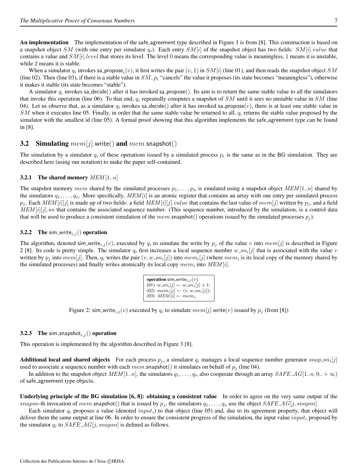An implementation The implementation of the safe<sub>-agreement type described in Figure 1</sub> is from [8]. This construction is based on a snapshot object SM (with one entry per simulator  $q_i$ ). Each entry SM[i] of the snapshot object has two fields: SM[i].value that contains a value and  $SM[i].level$  that stores its level. The level 0 means the corresponding value is meaningless, 1 means it is unstable, while 2 means it is stable.

When a simulator  $q_i$  invokes sa\_propose<sub>i</sub> $(v)$ , it first writes the pair  $(v, 1)$  in  $SM[i]$  (line 01), and then reads the snapshot object  $SM$ (line 02). Then (line 03), if there is a stable value in  $SM$ ,  $p_i$  "cancels" the value it proposes (its state becomes "meaningless"), otherwise it makes it stable (its state becomes "stable").

A simulator  $q_i$  invokes sa decide() after it has invoked sa propose(). Its aim is to return the same stable value to all the simulators that invoke this operation (line 06). To that end,  $q_i$  repeatedly computes a snapshot of SM until it sees no unstable value in SM (line 04). Let us observe that, as a simulator  $q_i$  invokes sa\_decide() after it has invoked sa\_propose(v), there is at least one stable value in SM when it executes line 05. Finally, in order that the same stable value be returned to all,  $q_i$  returns the stable value proposed by the simulator with the smallest id (line 05). A formal proof showing that this algorithm implements the safe\_agreement type can be found in [8].

### **3.2** Simulating  $mem[j]$ .write() and  $mem$ .snapshot()

The simulation by a simulator  $q_i$  of these operations issued by a simulated process  $p_i$  is the same as in the BG simulation. They are described here (using our notation) to make the paper self-contained.

#### 3.2.1 The shared memory  $MEM[1..n]$

The snapshot memory mem shared by the simulated processes  $p_1, \ldots, p_n$  is emulated using a snapshot object MEM [1..n] shared by the simulators  $q_1, \ldots, q_n$ . More specifically,  $MEM[i]$  is an atomic register that contains an array with one entry per simulated process  $p_j$ . Each  $MEM[i][j]$  is made up of two fields: a field  $MEM[i][j].value$  that contains the last value of  $mem[j]$  written by  $p_j$ , and a field  $MEM[i][j].sn$  that contains the associated sequence number. (This sequence number, introduced by the simulation, is a control data that will be used to produce a consistent simulation of the mem.snapshot() operations issued by the simulated processes  $p_i$ ).

#### **3.2.2** The sim\_write<sub>i,j</sub>() operation

The algorithm, denoted sim write $i,j(v)$ , executed by  $q_i$  to simulate the write by  $p_j$  of the value v into  $mem[j]$  is described in Figure 2 [8]. Its code is pretty simple. The simulator  $q_i$  first increases a local sequence number  $w\_sn_i[j]$  that is associated with the value v written by  $p_j$  into  $mem[j]$ . Then,  $q_i$  writes the pair  $(v, w\_sn_i[j])$  into  $mem_i[j]$  (where  $mem_i$  is its local copy of the memory shared by the simulated processes) and finally writes atomically its local copy  $mem_i$  into  $MEM[i]$ .

| <b>operation</b> sim_write <sub>i.j</sub> (v): |
|------------------------------------------------|
| (01) $w\_sn_i[j] \leftarrow w\_sn_i[j] + 1;$   |
| (02) $mem_i[j] \leftarrow (v, w\_sn_i[j])$ ;   |
| (03) $MEM[i] \leftarrow mem_i$ .               |

Figure 2: sim\_write $i,j(v)$  executed by  $q_i$  to simulate  $mem[j]$  write $(v)$  issued by  $p_j$  (from [8])

#### **3.2.3** The sim\_snapshot $_{i,j}$  () operation

This operation is implemented by the algorithm described in Figure 3 [8].

**Additional local and shared objects** For each process  $p_j$ , a simulator  $q_i$  manages a local sequence number generator  $snap\_sn_i[j]$ used to associate a sequence number with each mem.snapshot() it simulates on behalf of  $p_i$  (line 04).

In addition to the snapshot object  $MEM[1..n]$ , the simulators  $q_1, \ldots, q_n$  also cooperate through an array  $SAFE \_\_1([1..n, 0.. + \infty))$ of safe agreement type objects.

Underlying principle of the BG simulation [6, 8]: obtaining a consistent value In order to agree on the very same output of the snapsn-th invocation of mem.snapshot() that is issued by  $p_j$ , the simulators  $q_1, \ldots, q_n$  use the object  $SAFE \_\_G[j]$ , snapsn].

Each simulator  $q_i$  proposes a value (denoted input<sub>i</sub>) to that object (line 05) and, due to its agreement property, that object will deliver them the same output at line 06. In order to ensure the consistent progress of the simulation, the input value  $input_i$  proposed by the simulator  $q_i$  to  $SAFE \, AG[j, snapsn]$  is defined as follows.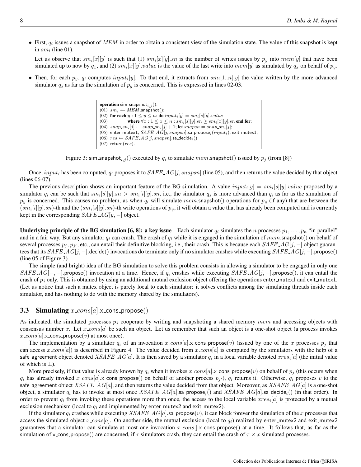• First,  $q_i$  issues a snapshot of MEM in order to obtain a consistent view of the simulation state. The value of this snapshot is kept in  $sm_i$  (line 01).

Let us observe that  $sm_i[x][y]$  is such that (1)  $sm_i[x][y]$ . *sn* is the number of writes issues by  $p_y$  into mem[y] that have been simulated up to now by  $q_x$ , and (2)  $sm_i[x][y].value$  is the value of the last write into  $mem[y]$  as simulated by  $q_x$  on behalf of  $p_y$ .

• Then, for each  $p_y$ ,  $q_i$  computes  $input_i[y]$ . To that end, it extracts from  $sm_i[1..n][y]$  the value written by the more advanced simulator  $q_s$  as far as the simulation of  $p_y$  is concerned. This is expressed in lines 02-03.

> **operation** sim\_snapshot $_{i,j}$ (): (01)  $sm_i \leftarrow MEM.\text{snapshot}$ ): (02) for each  $y: 1 \leq y \leq n$ : do  $input_i[y] = sm_i[s][y].value$ (03) where  $\forall x : 1 \leq x \leq n : sm_i[s][y].sn \geq sm_i[x][y].sn$  end for; (04)  $snap\_sn_i[j] \leftarrow snap\_sn_i[j] + 1;$  let  $snapsn = snap\_sn_i[j];$ (05)  $% (0,0)$  enter\_mutex $1;\mathit{SAFE}\_\mathit{AG}[j,snapsn].$ sa\_propose $_i (input_i);$  exit\_mutex $1;$ (06)  $res \leftarrow SAFE \, \mathcal{A} G[j, snapsn]$ .sa\_decide<sub>i</sub>()  $(07)$  return $(res)$ .

Figure 3: sim\_snapshot<sub>i,j</sub>() executed by  $q_i$  to simulate  $mem$ .snapshot() issued by  $p_j$  (from [8])

Once, input<sub>i</sub> has been computed,  $q_i$  proposes it to  $SAFE \_\text{A} G[j, snapsn]$  (line 05), and then returns the value decided by that object (lines 06-07).

The previous description shows an important feature of the BG simulation. A value  $input_i[y] = sm_i[s][y].value$  proposed by a simulator  $q_i$  can be such that  $sm_i[s][y].sn > sm_i[i][y].sn$ , i.e., the simulator  $q_s$  is more advanced than  $q_i$  as far as the simulation of  $p_y$  is concerned. This causes no problem, as when  $q_i$  will simulate mem.snapshot() operations for  $p_y$  (if any) that are between the  $(sm_i[i][y].sn)$ -th and the  $(sm_i[s][y].sn)$ -th write operations of  $p_y$ , it will obtain a value that has already been computed and is currently kept in the corresponding  $SAFE \_\_A G[y, -]$  object.

**Underlying principle of the BG simulation [6, 8]: a key issue** Each simulator  $q_i$  simulates the n processes  $p_1, \ldots, p_n$  "in parallel" and in a fair way. But any simulator  $q_i$  can crash. The crash of  $q_i$  while it is engaged in the simulation of mem.snapshot() on behalf of several processes  $p_j$ ,  $p_{j'}$ , etc., can entail their definitive blocking, i.e., their crash. This is because each  $SAFE \_\_G[j, -]$  object guarantees that its  $SAFE_A G[j, -]$ .decide() invocations do terminate only if no simulator crashes while executing  $SAFE_A G[j, -]$ .propose() (line 05 of Figure 3).

The simple (and bright) idea of the BG simulation to solve this problem consists in allowing a simulator to be engaged in only one  $SAFE\_\text{AG}[-,-]$ .propose() invocation at a time. Hence, if  $q_i$  crashes while executing  $SAFE\_\text{AG}[j,-]$ .propose(), it can entail the crash of  $p_i$  only. This is obtained by using an additional mutual exclusion object offering the operations enter mutex1 and exit mutex1. (Let us notice that such a mutex object is purely local to each simulator: it solves conflicts among the simulating threads inside each simulator, and has nothing to do with the memory shared by the simulators).

### **3.3** Simulating  $x\_{cons}[a]$ .x\_cons\_propose()

As indicated, the simulated processes  $p_i$  cooperate by writing and snapshoting a shared memory mem and accessing objects with consensus number x. Let  $x \text{-}cons[a]$  be such an object. Let us remember that such an object is a one-shot object (a process invokes x cons[a].x cons propose(v) at most once).

The implementation by a simulator  $q_i$  of an invocation  $x\text{-}cons[a] \times \text{-}cons\text{-}propose(v)$  (issued by one of the  $x$  processes  $p_j$  that can access  $x\text{-}cons[a]$ ) is described in Figure 4. The value decided from  $x\text{-}cons[a]$  is computed by the simulators with the help of a safe\_agreement object denoted  $XSAFE\_AG[a].$  It is then saved by a simulator  $q_i$  in a local variable denoted  $xres_i[a]$  (the initial value of which is  $\perp$ ).

More precisely, if that value is already known by  $q_i$  when it invokes x cons[a].x cons propose(v) on behalf of  $p_i$  (this occurs when  $q_i$  has already invoked x\_cons[a].x\_cons\_propose() on behalf of another process  $p_{j'}$ ),  $q_i$  returns it. Otherwise,  $q_i$  proposes v to the safe agreement object  $XSAFE \text{A}G[a]$ , and then returns the value decided from that object. Moreover, as  $XSAFE \text{A}G[a]$  is a one-shot object, a simulator  $q_i$  has to invoke at most once  $XSAFE \_\text{A}G[a]$ .sa propose $_i()$  and  $XSAFE \_\text{A}G[a]$ .sa decide $_i()$  (in that order). In order to prevent  $q_i$  from invoking these operations more than once, the access to the local variable  $xres_i[a]$  is protected by a mutual exclusion mechanism (local to  $q_i$  and implemented by enter-mutex2 and exit-mutex2).

If the simulator  $q_i$  crashes while executing XSAFE  $AG[a]$  sa propose(v), it can block forever the simulation of the x processes that access the simulated object  $x \text{--}cons[a]$ . On another side, the mutual exclusion (local to  $q_i$ ) realized by enter-mutex2 and exit-mutex2 guarantees that a simulator can simulate at most one invocation  $x \text{ .cons}$ .  $\text{ .cons}$ . propose() at a time. It follows that, as far as the simulation of x\_cons\_propose() are concerned, if  $\tau$  simulators crash, they can entail the crash of  $\tau \times x$  simulated processes.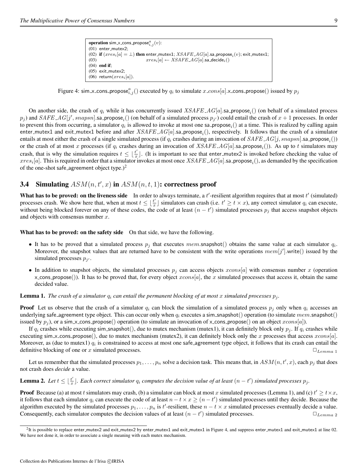```
operation sim\mathbf{x} cons propose_{i,j}^a(v):
(01) enter_mutex2:
(02) \textbf{if } (xres_i[a] = \bot) \textbf{ then } enter_mutex1; \textit{XSAFE\_AG}[a].sa_propose_i(v); exit_mutex1;(03) xres_i[a] \leftarrow XSAFE \, \mathcal{A}G[a] \, \text{sa\_decide}_i()(04) end if;
(05) exit mutex2;
(06) return(xres<sub>i</sub>[a]).
```
Figure 4: sim x cons propose $_{i,j}^a()$  executed by  $q_i$  to simulate  $x \text{-}cons[a]$  x cons propose $()$  issued by  $p_j$ 

On another side, the crash of  $q_i$  while it has concurrently issued  $XSAFE \_\_A G[a]$ .sa propose<sub>i</sub>() (on behalf of a simulated process  $p_j$ ) and  $SAFE \_\_G[j',snapsn]$ .sa  $\text{propose}_i()$  (on behalf of a simulated process  $p_{j'}$ ) could entail the crash of  $x+1$  processes. In order to prevent this from occurring, a simulator  $q_i$  is allowed to invoke at most one sa<sub>-</sub>propose<sub>i</sub>() at a time. This is realized by calling again enter\_mutex1 and exit\_mutex1 before and after  $XSAFE \_\_A G[a]$ .sa\_propose<sub>i</sub>(), respectively. It follows that the crash of a simulator entails at most either the crash of a single simulated process (if  $q_i$  crashes during an invocation of  $SAFE \_\_G[j,snapsn]$ .sa\_propose $_i()$ ) or the crash of at most x processes (if  $q_i$  crashes during an invocation of  $XSAFE \_\_G[a]$ . Sa propose $_i()$ ). As up to t simulators may crash, that is why the simulation requires  $t \leq \lfloor \frac{t'}{t} \rfloor$  $\frac{t'}{x}$ . (It is important to see that enter\_mutex2 is invoked before checking the value of  $xres_i[a]$ . This is required in order that a simulator invokes at most once  $XSAFE \_AG[a]$ .sa propose, (), as demanded by the specification of the one-shot safe\_agreement object type.) $^{2}$ 

# **3.4** Simulating  $ASM(n, t', x)$  in  $ASM(n, t, 1)$ : correctness proof

What has to be proved: on the liveness side In order to always terminate, a  $t'$ -resilient algorithm requires that at most  $t'$  (simulated) processes crash. We show here that, when at most  $t \leq \lfloor \frac{t'}{t} \rfloor$  $x_{x}^{t'}$  simulators can crash (i.e.  $t' \geq t \times x$ ), any correct simulator  $q_i$  can execute, without being blocked forever on any of these codes, the code of at least  $(n - t')$  simulated processes  $p_j$  that access snapshot objects and objects with consensus number  $x$ .

What has to be proved: on the safety side On that side, we have the following.

- It has to be proved that a simulated process  $p_j$  that executes mem.snapshot() obtains the same value at each simulator  $q_i$ . Moreover, the snapshot values that are returned have to be consistent with the write operations  $mem[j']$  write() issued by the simulated processes  $p_{j'}$ .
- In addition to snapshot objects, the simulated processes  $p_i$  can access objects  $xcons[a]$  with consensus number x (operation x cons propose()). It has to be proved that, for every object  $xcons[a]$ , the x simulated processes that access it, obtain the same decided value.

#### **Lemma 1.** The crash of a simulator  $q_i$  can entail the permanent blocking of at most x simulated processes  $p_j$ .

**Proof** Let us observe that the crash of a simulator  $q_i$  can block the simulation of a simulated process  $p_i$  only when  $q_i$  accesses an underlying safe agreement type object. This can occur only when  $q_i$  executes a sim snapshot() operation (to simulate mem.snapshot() issued by  $p_i$ ), or a sim x cons propose() operation (to simulate an invocation of x cons propose() on an object  $xcons[a]$ ).

If  $q_i$  crashes while executing sim snapshot(), due to mutex mechanism (mutex1), it can definitely block only  $p_i$ . If  $q_i$  crashes while executing sim  $x$  cons propose(), due to mutex mechanism (mutex2), it can definitely block only the x processes that access  $x$ cons[a]. Moreover, as (due to mutex1)  $q_i$  is constrained to access at most one safe\_agreement type object, it follows that its crash can entail the definitive blocking of one or x simulated processes.  $\Box$   $L_{emm}$  1

Let us remember that the simulated processes  $p_1, \ldots, p_n$  solve a decision task. This means that, in  $ASM(n, t', x)$ , each  $p_j$  that does not crash does *decide* a value.

#### **Lemma 2.** Let  $t \leq \lfloor \frac{t'}{t} \rfloor$  $\frac{t'}{x}$ ]. Each correct simulator  $q_i$  computes the decision value of at least  $(n-t')$  simulated processes  $p_j$ .

**Proof** Because (a) at most t simulators may crash, (b) a simulator can block at most x simulated processes (Lemma 1), and (c)  $t' \ge t \times x$ , it follows that each simulator  $q_i$  can execute the code of at least  $n - t \times x \ge (n - t')$  simulated processes until they decide. Because the algorithm executed by the simulated processes  $p_1, \ldots, p_n$  is t'-resilient, these  $n - t \times x$  simulated processes eventually decide a value. Consequently, each simulator computes the decision values of at least  $(n - t')$  simulated processes.  $\square_{Lemma\ 2}$ 

 $^{2}$ It is possible to replace enter\_mutex2 and exit\_mutex2 by enter\_mutex1 and exit\_mutex1 in Figure 4, and suppress enter\_mutex1 and exit\_mutex1 at line 02. We have not done it, in order to associate a single meaning with each mutex mechanism.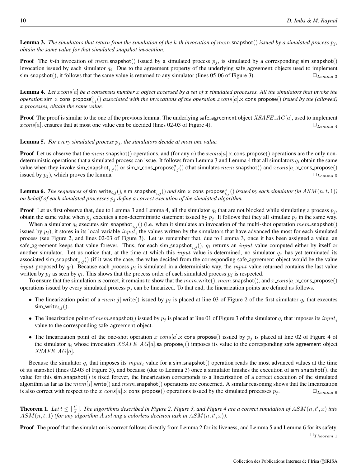**Lemma 3.** The simulators that return from the simulation of the k-th invocation of mem.snapshot() issued by a simulated process  $p_i$ , *obtain the same value for that simulated snapshot invocation.*

**Proof** The k-th invocation of mem.snapshot() issued by a simulated process  $p_j$ , is simulated by a corresponding sim\_snapshot() invocation issued by each simulator  $q_i$ . Due to the agreement property of the underlying safe\_agreement objects used to implement sim\_snapshot(), it follows that the same value is returned to any simulator (lines 05-06 of Figure 3).  $\square_{Lemma \,3}$ 

Lemma 4. *Let* xcons[a] *be a consensus number* x *object accessed by a set of* x *simulated processes. All the simulators that invoke the*  $\omega$  operation sim x cons propose ${}_{i,j}^a()$  *associated with the invocations of the operation*  $xcons[a]$ .x cons propose() *issued by the (allowed)* x *processes, obtain the same value.*

**Proof** The proof is similar to the one of the previous lemma. The underlying safe agreement object  $XSAFE \_\_A G[a]$ , used to implement  $xcons[a]$ , ensures that at most one value can be decided (lines 02-03 of Figure 4).

#### **Lemma 5.** *For every simulated process*  $p_j$ *, the simulators decide at most one value.*

**Proof** Let us observe that the mem.snapshot() operations, and (for any a) the xcons[a].x\_cons\_propose() operations are the only nondeterministic operations that a simulated process can issue. It follows from Lemma 3 and Lemma 4 that all simulators  $q_i$  obtain the same value when they invoke sim\_snapshot<sub>i,j</sub>( $\hat{j}$ ) or sim\_x\_cons\_propose $\hat{a}$ <sub>i,j</sub>() (that simulates mem.snapshot() and xcons[a].x\_cons\_propose() issued by p<sup>j</sup> ), which proves the lemma. ✷Lemma <sup>5</sup>

 ${\bf Lemma}$  6. The sequences of sim\_write $_{i,j}()$ , sim\_snapshot $_{i,j}()$  and sim\_x\_cons\_propose $_{i,j}^a()$  *issued by each simulator (in*  $ASM(n,t,1)$ *) on behalf of each simulated processes*  $p_i$  *define a correct execution of the simulated algorithm.* 

**Proof** Let us first observe that, due to Lemma 3 and Lemma 4, all the simulator  $q_i$  that are not blocked while simulating a process  $p_j$ , obtain the same value when  $p_i$  executes a non-deterministic statement issued by  $p_i$ . It follows that they all simulate  $p_i$  in the same way.

When a simulator  $q_i$  executes sim snapshot<sub>i,j</sub>() (i.e. when it simulates an invocation of the multi-shot operation mem.snapshot() issued by  $p_j$ ), it stores in its local variable  $input_i$  the values written by the simulators that have advanced the most for each simulated process (see Figure 2, and lines 02-03 of Figure 3). Let us remember that, due to Lemma 3, once it has been assigned a value, an safe agreement keeps that value forever. Thus, for each sim snapshot<sub>i,j</sub>(),  $q_i$  returns an *input* value computed either by itself or another simulator. Let us notice that, at the time at which this *input* value is determined, no simulator  $q_x$  has yet terminated its associated sim\_snapshot<sub>x,j</sub>() (if it was the case, the value decided from the corresponding safe\_agreement object would be the value *input* proposed by  $q_i$ ). Because each process  $p_j$  is simulated in a deterministic way, the *input* value returned contains the last value written by  $p_j$  as seen by  $q_i$ . This shows that the process order of each simulated process  $p_j$  is respected.

To ensure that the simulation is correct, it remains to show that the mem.write(), mem.snapshot(), and x cons[a].x cons propose() operations issued by every simulated process  $p_i$  can be linearized. To that end, the linearization points are defined as follows.

- The linearization point of a  $mem[j]$  write() issued by  $p_j$  is placed at line 03 of Figure 2 of the first simulator  $q_i$  that executes  $sim_$ write<sub>i.i</sub().
- The linearization point of mem.snapshot() issued by  $p_j$  is placed at line 01 of Figure 3 of the simulator  $q_i$  that imposes its  $input_i$ value to the corresponding safe agreement object.
- The linearization point of the one-shot operation  $x\text{-}cons[a]$ .  $x\text{-}cons$  propose() issued by  $p_j$  is placed at line 02 of Figure 4 of the simulator  $q_i$  whose invocation  $XSAFE\_AG[a].$ sa propose $_i()$  imposes its value to the corresponding safe\_agreement object  $XSAFE \_\_AG[a]$ .

Because the simulator  $q_i$  that imposes its  $input_i$  value for a sim\_snapshot() operation reads the most advanced values at the time of its snapshot (lines 02-03 of Figure 3), and because (due to Lemma 3) once a simulator finishes the execution of sim snapshot(), the value for this sim snapshot() is fixed forever, the linearization corresponds to a linearization of a correct execution of the simulated algorithm as far as the  $mem[j].write()$  and  $mem.\text{snapshot() operations are concerned. A similar reasoning shows that the linearization$ is also correct with respect to the  $x_{cons}[a]$ .  $x_{cons}$  propose() operations issued by the simulated processes  $p_j$ .

**Theorem 1.** Let  $t \leq \frac{t'}{t}$  $\frac{t'}{x}$ ]. The algorithms described in Figure 2, Figure 3, and Figure 4 are a correct simulation of  $ASM(n,t',x)$  into  $ASM(n, t, 1)$  (for any algorithm A solving a colorless decision task in  $ASM(n, t', x)$ ).

Proof The proof that the simulation is correct follows directly from Lemma 2 for its liveness, and Lemma 5 and Lemma 6 for its safety.  $\Box_{Theorem~1}$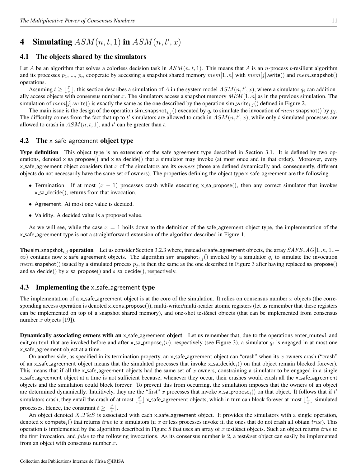# **4** Simulating  $ASM(n, t, 1)$  in  $ASM(n, t', x)$

#### 4.1 The objects shared by the simulators

Let A be an algorithm that solves a colorless decision task in  $ASM(n, t, 1)$ . This means that A is an n-process t-resilient algorithm and its processes  $p_1, ..., p_n$  cooperate by accessing a snapshot shared memory  $mem[1..n]$  with  $mem[j]$ .write() and  $mem$ .snapshot() operations.

Assuming  $t \geq \lfloor \frac{t'}{r} \rfloor$  $\frac{t'}{x}$ , this section describes a simulation of A in the system model  $ASM(n, t', x)$ , where a simulator  $q_i$  can additionally access objects with consensus number x. The simulators access a snapshot memory  $MEM[1..n]$  as in the previous simulation. The simulation of  $mem[j]$ .write() is exactly the same as the one described by the operation sim\_write<sub>i,j</sub>() defined in Figure 2.

The main issue is the design of the operation sim\_snapshot<sub>i,j</sub>() executed by  $q_i$  to simulate the invocation of mem.snapshot() by  $p_j$ . The difficulty comes from the fact that up to t' simulators are allowed to crash in  $ASM(n, t', x)$ , while only t simulated processes are allowed to crash in  $ASM(n, t, 1)$ , and t' can be greater than t.

### 4.2 The  $\times$  safe agreement object type

Type definition This object type is an extension of the safe agreement type described in Section 3.1. It is defined by two operations, denoted  $x$  sa propose() and  $x$  sa decide() that a simulator may invoke (at most once and in that order). Moreover, every x safe agreement object considers that x of the simulators are its *owners* (those are defined dynamically and, consequently, different objects do not necessarily have the same set of owners). The properties defining the object type x safe agreement are the following.

- Termination. If at most  $(x 1)$  processes crash while executing x\_sa\_propose(), then any correct simulator that invokes  $x$  sa  $decide()$ , returns from that invocation.
- Agreement. At most one value is decided.
- Validity. A decided value is a proposed value.

As we will see, while the case  $x = 1$  boils down to the definition of the safe agreement object type, the implementation of the x\_safe\_agreement type is not a straightforward extension of the algorithm described in Figure 1.

**The** sim\_snapshot<sub>i,j</sub> operation Let us consider Section 3.2.3 where, instead of safe\_agreement objects, the array  $SAFE \_\text{A} G[1..n, 1..+$  $\infty$ ) contains now x\_safe\_agreement objects. The algorithm sim\_snapshot<sub>i,j</sub>() invoked by a simulator  $q_i$  to simulate the invocation mem.snapshot() issued by a simulated process  $p_i$ , is then the same as the one described in Figure 3 after having replaced sa propose() and sa\_decide() by  $x$ \_sa\_propose() and  $x$ \_sa\_decide(), respectively.

#### 4.3 Implementing the  $\times$  safe agreement type

The implementation of a x safe agreement object is at the core of the simulation. It relies on consensus number  $x$  objects (the corresponding access operation is denoted x\_cons\_propose()), multi-writer/multi-reader atomic registers (let us remember that these registers can be implemented on top of a snapshot shared memory), and one-shot test&set objects (that can be implemented from consensus number  $x$  objects [19]).

Dynamically associating owners with an x\_safe\_agreement object Let us remember that, due to the operations enter\_mutex1 and exit\_mutex1 that are invoked before and after x\_sa\_propose<sub>i</sub> $(v)$ , respectively (see Figure 3), a simulator  $q_i$  is engaged in at most one x\_safe\_agreement object at a time.

On another side, as specified in its termination property, an  $x$ -safe<sub>-</sub>agreement object can "crash" when its x owners crash ("crash" of an x safe agreement object means that the simulated processes that invoke x sa decide, () on that object remain blocked forever). This means that if all the x safe agreement objects had the same set of x owners, constraining a simulator to be engaged in a single x safe agreement object at a time is not sufficient because, whenever they occur, their crashes would crash all the x safe agreement objects and the simulation could block forever. To prevent this from occurring, the simulation imposes that the owners of an object are determined dynamically. Intuitively, they are the "first" x processes that invoke  $x$ -sa-propose<sub>i</sub>() on that object. It follows that if t' simulators crash, they entail the crash of at most  $\frac{t'}{x}$  $\frac{t'}{x}$  | x\_safe\_agreement objects, which in turn can block forever at most  $\lfloor \frac{t'}{x} \rfloor$  $\left[\frac{t'}{x}\right]$  simulated processes. Hence, the constraint  $t \geq \lfloor \frac{t'}{t} \rfloor$  $\frac{t'}{x}$ .

An object denoted  $X$ -T&S is associated with each x-safe-agreement object. It provides the simulators with a single operation, denoted x\_compete<sub>i</sub>() that returns true to x simulators (if x or less processes invoke it, the ones that do not crash all obtain true). This operation is implemented by the algorithm described in Figure 5 that uses an array of x test&set objects. Such an object returns true to the first invocation, and *false* to the following invocations. As its consensus number is 2, a test&set object can easily be implemented from an object with consensus number  $x$ .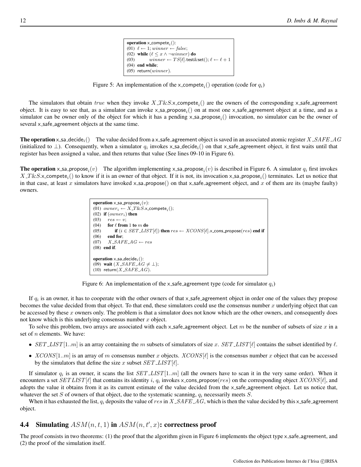$\mathsf{operation} \times \mathsf{complete}_i()$ : (01)  $\ell \leftarrow 1$ ; winner  $\leftarrow$  false; (02) while  $(\ell \leq x \land \neg winner)$  do (03) winner  $\leftarrow TS[\ell].\text{test} \& \text{set}(); \ell \leftarrow \ell + 1$ (04) end while; (05) return(winner).

Figure 5: An implementation of the  $x$ -compete<sub>i</sub>() operation (code for  $q_i$ )

The simulators that obtain true when they invoke  $X_T \& S$ .x compete<sub>i</sub>() are the owners of the corresponding x safe agreement object. It is easy to see that, as a simulator can invoke  $x$ -sa-propose<sub>i</sub>() on at most one  $x$ -safe-agreement object at a time, and as a simulator can be owner only of the object for which it has a pending  $x$ -sa-propose<sub>i</sub>() invocation, no simulator can be the owner of several x\_safe\_agreement objects at the same time.

**The operation** x\_sa\_decide<sub>i</sub>() The value decided from a x\_safe\_agreement object is saved in an associated atomic register X\_SAFE\_AG (initialized to  $\perp$ ). Consequently, when a simulator  $q_i$  invokes x\_sa\_decide<sub>i</sub>() on that x\_safe\_agreement object, it first waits until that register has been assigned a value, and then returns that value (See lines 09-10 in Figure 6).

**The operation** x\_sa\_propose<sub>i</sub> $(v)$  The algorithm implementing x\_sa\_propose<sub>i</sub> $(v)$  is described in Figure 6. A simulator  $q_i$  first invokes  $X$ <sub>-T</sub>&S<sub>-</sub>x-compete<sub>i</sub>() to know if it is an owner of that object. If it is not, its invocation x-sa-propose<sub>i</sub>() terminates. Let us notice that in that case, at least x simulators have invoked  $x$ -sa-propose() on that  $x$ -safe-agreement object, and x of them are its (maybe faulty) owners.

```
\mathbf{operation} \times \mathbf{sa\_propose}_i(v):
(01) \textit{owner}_i \leftarrow X\_T \& S.\textsf{x\_complete}_i();(02) if (owner_i) then
(03) res \leftarrow v;(04) for \ell from 1 to m do<br>(05) if (i \in SET \_ LIS)if (i \in SET\_LIST[\ell]) then res \leftarrow XCONS[\ell].x cons propose(res) end if
(06) end for;
(07) X \text{\textit{\_}S} AFE \text{\textit{\_}} AG \leftarrow res(08) end if.
operation \times sa decide_i():
(09) wait (X \text{-} SAFE \text{-} AG \neq \bot);(10) return(X\_SAFE \_AG).
```
Figure 6: An implementation of the x-safe-agreement type (code for simulator  $q_i$ )

If  $q_i$  is an owner, it has to cooperate with the other owners of that  $x$  safe agreement object in order one of the values they propose becomes the value decided from that object. To that end, these simulators could use the consensus number  $x$  underlying object that can be accessed by these  $x$  owners only. The problem is that a simulator does not know which are the other owners, and consequently does not know which is this underlying consensus number  $x$  object.

To solve this problem, two arrays are associated with each  $\times$  safe agreement object. Let m be the number of subsets of size x in a set of  $n$  elements. We have:

- SET\_LIST[1..m] is an array containing the m subsets of simulators of size x. SET\_LIST[ $\ell$ ] contains the subset identified by  $\ell$ .
- $XCONS[1..m]$  is an array of m consensus number x objects.  $XCONS[\ell]$  is the consensus number x object that can be accessed by the simulators that define the size x subset  $SET \text{ }LIST[\ell].$

If simulator  $q_i$  is an owner, it scans the list  $SET\_LIST[1..m]$  (all the owners have to scan it in the very same order). When it encounters a set  $SETLIST[\ell]$  that contains its identity i,  $q_i$  invokes x cons propose(res) on the corresponding object  $XCONS[\ell]$ , and adopts the value it obtains from it as its current estimate of the value decided from the x safe agreement object. Let us notice that, whatever the set S of owners of that object, due to the systematic scanning,  $q_i$  necessarily meets S.

When it has exhausted the list,  $q_i$  deposits the value of res in X\_SAFE\_AG, which is then the value decided by this x\_safe\_agreement object.

# **4.4** Simulating  $ASM(n, t, 1)$  in  $ASM(n, t', x)$ : correctness proof

The proof consists in two theorems: (1) the proof that the algorithm given in Figure 6 implements the object type  $x$  safe agreement, and (2) the proof of the simulation itself.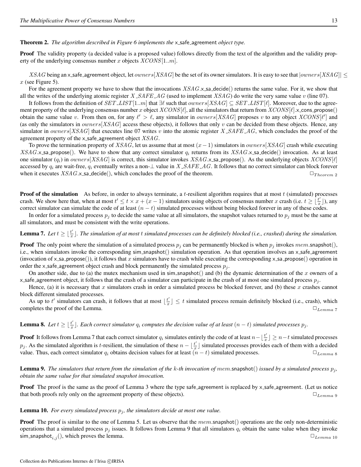#### Theorem 2. *The algorithm described in Figure 6 implements the* x safe agreement *object type.*

Proof The validity property (a decided value is a proposed value) follows directly from the text of the algorithm and the validity property of the underlying consensus number x objects  $XCONS[1..m]$ .

XSAG being an x safe agreement object, let owners [XSAG] be the set of its owner simulators. It is easy to see that  $|owners[XSAG|] \le$  $x$  (see Figure 5).

For the agreement property we have to show that the invocations  $XSAG.x$  sa decide() returns the same value. For it, we show that all the writes of the underlying atomic register X\_SAFE\_AG (used to implement  $XSAG$ ) do write the very same value v (line 07).

It follows from the definition of  $SET\_LIST[1..m]$  that  $\exists \ell$  such that *owners*[XSAG]  $\subseteq SET\_LIST[\ell]$ . Moreover, due to the agreement property of the underlying consensus number x object  $XCONS[\ell]$ , all the simulators that return from  $XCONS[\ell]$ .x cons propose() obtain the same value v. From then on, for any  $\ell' > \ell$ , any simulator in *owners*[XSAG] proposes v to any object XCONS[ $\ell'$ ] and (as only the simulators in *owners*[XSAG] access these objects), it follows that only v can be decided from these objects. Hence, any simulator in *owners*[XSAG] that executes line 07 writes v into the atomic register X\_SAFE\_AG, which concludes the proof of the agreement property of the  $x$ -safe-agreement object  $XSAG$ .

To prove the termination property of XSAG, let us assume that at most  $(x-1)$  simulators in *owners*[XSAG] crash while executing  $XSAG.x$  sa propose(). We have to show that any correct simulator  $q_i$  returns from its  $XSAG.x$  sa decide() invocation. As at least one simulator  $(q_i)$  in owners [XSAG] is correct, this simulator invokes XSAG.x\_sa\_propose(). As the underlying objects XCONS[ $\ell$ ] accessed by  $q_i$  are wait-free,  $q_i$  eventually writes a non- $\perp$  value in X  $\_SAFE\_AG$ . It follows that no correct simulator can block forever when it executes  $XSAG.x$  sa decide(), which concludes the proof of the theorem.  $\Box_{Theorem 2}$ 

**Proof of the simulation** As before, in order to always terminate, a t-resilient algorithm requires that at most  $t$  (simulated) processes crash. We show here that, when at most  $t' \le t \times x + (x - 1)$  simulators using objects of consensus number x crash (i.e.  $t \ge \left\lfloor \frac{t'}{x} \right\rfloor$  $\frac{t'}{x}$ ]), any correct simulator can simulate the code of at least  $(n - t)$  simulated processes without being blocked forever in any of these codes.

In order for a simulated process  $p_i$  to decide the same value at all simulators, the snapshot values returned to  $p_i$  must be the same at all simulators, and must be consistent with the write operations.

**Lemma 7.** *Let*  $t \geq \lfloor \frac{t'}{t} \rfloor$  $\frac{t'}{x}$ ]. The simulation of at most  $t$  simulated processes can be definitely blocked (i.e., crashed) during the simulation.

**Proof** The only point where the simulation of a simulated process  $p_j$  can be permanently blocked is when  $p_j$  invokes mem.snapshot(), i.e., when simulators invoke the corresponding sim\_snapshot() simulation operation. As that operation involves an x\_safe\_agreement (invocation of x\_sa\_propose()), it follows that x simulators have to crash while executing the corresponding x\_sa\_propose() operation in order the x safe agreement object crash and block permanently the simulated process  $p_i$ .

On another side, due to (a) the mutex mechanism used in sim\_snapshot() and (b) the dynamic determination of the x owners of a x safe agreement object, it follows that the crash of a simulator can participate in the crash of at most one simulated process  $p_j$ .

Hence, (a) it is necessary that x simulators crash in order a simulated process be blocked forever, and (b) these x crashes cannot block different simulated processes.

As up to t' simulators can crash, it follows that at most  $\lfloor \frac{t'}{r} \rfloor$  $\left\lfloor \frac{t'}{x} \right\rfloor \leq t$  simulated process remain definitely blocked (i.e., crash), which completes the proof of the Lemma. ✷Lemma <sup>7</sup>

**Lemma 8.** *Let*  $t \geq \frac{t'}{t}$  $\frac{t^r}{x}$ ]. Each correct simulator  $q_i$  computes the decision value of at least  $(n-t)$  simulated processes  $p_j$ .

**Proof** It follows from Lemma 7 that each correct simulator  $q_i$  simulates entirely the code of at least  $n-\lfloor \frac{t'}{n} \rfloor$  $\lfloor \frac{t'}{x} \rfloor \geq n-t$  simulated processes  $p_j$ . As the simulated algorithm is t-resilient, the simulation of these  $n - \lfloor \frac{t'}{n} \rfloor$  $\frac{t'}{x}$  simulated processes provides each of them with a decided value. Thus, each correct simulator  $q_i$  obtains decision values for at least  $(n - t)$  simulated processes.

**Lemma 9.** The simulators that return from the simulation of the k-th invocation of mem.snapshot() issued by a simulated process  $p_i$ , *obtain the same value for that simulated snapshot invocation.*

**Proof** The proof is the same as the proof of Lemma 3 where the type safe<sub>-agreement is replaced by  $x$ -safe-agreement. (Let us notice</sub> that both proofs rely only on the agreement property of these objects).  $\Box_{Lemma}$  9

#### **Lemma 10.** *For every simulated process*  $p_j$ *, the simulators decide at most one value.*

**Proof** The proof is similar to the one of Lemma 5. Let us observe that the mem.snapshot() operations are the only non-deterministic operations that a simulated process  $p_i$  issues. It follows from Lemma 9 that all simulators  $q_i$  obtain the same value when they invoke sim\_snapshot<sub>i,j</sub>(), which proves the lemma.  $\square_{Lemma \ 10}$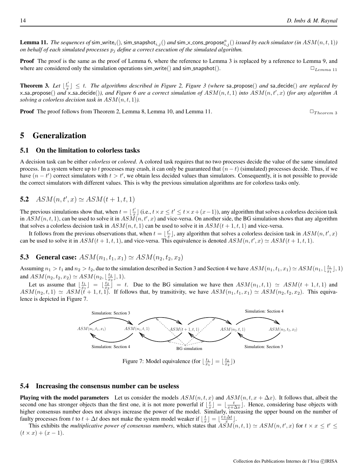${\bf Lemma~11.}$  The sequences of  ${\sf sim\_write}_i()$ ,  ${\sf sim\_snapshot}_{i,j}()$  and  ${\sf sim\_x\_cons\_propose}_{i,j}^a()$  issued by each simulator (in  $ASM(n,t,1)$ ) *on behalf of each simulated processes*  $p_i$  *define a correct execution of the simulated algorithm.* 

Proof The proof is the same as the proof of Lemma 6, where the reference to Lemma 3 is replaced by a reference to Lemma 9, and where are considered only the simulation operations sim\_write() and sim\_snapshot().  $\square_{Lemma \, 11}$ 

**Theorem 3.** Let  $\lfloor \frac{t'}{t} \rfloor$  $\frac{f}{x}$   $\leq t$ . The algorithms described in Figure 2, Figure 3 (where sa\_propose() and sa\_decide() are replaced by  $x$ \_sa\_propose() and  $\vec{x}$ \_sa\_decide()), and Figure 6 are a correct simulation of  $ASM(n,t,1)$  into  $ASM(n,t',x)$  (for any algorithm  $A$ *solving a colorless decision task in*  $ASM(n, t, 1)$ *).* 

**Proof** The proof follows from Theorem 2, Lemma 8, Lemma 10, and Lemma 11.  $\Box_{Theorem 3}$ 

# 5 Generalization

#### 5.1 On the limitation to colorless tasks

A decision task can be either *colorless* or *colored*. A colored task requires that no two processes decide the value of the same simulated process. In a system where up to t processes may crash, it can only be guaranteed that  $(n - t)$  (simulated) processes decide. Thus, if we have  $(n - t')$  correct simulators with  $t > t'$ , we obtain less decided values than simulators. Consequently, it is not possible to provide the correct simulators with different values. This is why the previous simulation algorithms are for colorless tasks only.

# 5.2  $ASM(n, t', x) \simeq ASM(t + 1, t, 1)$

The previous simulations show that, when  $t = \frac{t'}{x}$  $\frac{t'}{x}$  ∫ (i.e.,  $t \times x \le t' \le t \times x + (x-1)$ ), any algorithm that solves a colorless decision task in  $ASM(n, t, 1)$ , can be used to solve it in  $ASM(n, t', x)$  and vice-versa. On another side, the BG simulation shows that any algorithm that solves a colorless decision task in  $ASM(n, t, 1)$  can be used to solve it in  $ASM(t + 1, t, 1)$  and vice-versa.

It follows from the previous observations that, when  $t = \frac{t}{x}$  $\frac{t'}{x}$ , any algorithm that solves a colorless decision task in  $ASM(n, t', x)$ can be used to solve it in  $ASM(t + 1, t, 1)$ , and vice-versa. This equivalence is denoted  $ASM(n, t', x) \simeqพmathcal{AM}(t + 1, t, 1)$ .

## **5.3** General case:  $ASM(n_1, t_1, x_1) \simeq ASM(n_2, t_2, x_2)$

Assuming  $n_1 > t_1$  and  $n_2 > t_2$ , due to the simulation described in Section 3 and Section 4 we have  $ASM(n_1, t_1, x_1) \simeq ASM(n_1, \lfloor \frac{t_1}{x_1} \rfloor, 1)$ and  $ASM(n_2, t_2, x_2) \simeq GSM(n_2, \lfloor \frac{t_2}{x_2} \rfloor, 1)$ .

Let us assume that  $\lfloor \frac{t_1}{t_1} \rfloor = \lfloor \frac{t_2}{t_2} \rfloor = t$ . Due to the BG simulation we have then  $ASM(n_1, t, 1) \simeq ASM(t + 1, t, 1)$  and ASM $(n_2, t, 1) \simeq ASM(t+1, t, 1)$ . If follows that, by transitivity, we have  $ASM(n_1, t_1, x_1) \simeq ASM(n_2, t_2, x_2)$ . This equivalence is depicted in Figure 7.



Figure 7: Model equivalence (for  $\lfloor \frac{t_1}{x_1} \rfloor = \lfloor \frac{t_2}{x_2} \rfloor$ )

#### 5.4 Increasing the consensus number can be useless

**Playing with the model parameters** Let us consider the models  $ASM(n, t, x)$  and  $ASM(n, t, x + \Delta x)$ . It follows that, albeit the second one has stronger objects than the first one, it is not more powerful if  $\lfloor \frac{t}{x} \rfloor = \lfloor \frac{t}{x + \Delta x} \rfloor$ . Hence, considering base objects with higher consensus number does not always increase the power of the model. Similarly, increasing the upper bound on the number of faulty processes from t to  $t + \Delta t$  does not make the system model weaker if  $\lfloor \frac{t}{x} \rfloor = \lfloor \frac{t + \Delta t}{x} \rfloor$ .

This exhibits the *multiplicative power of consensus numbers*, which states that  $A\tilde{S}M(n,t,1) \simeq ASM(n,t',x)$  for  $t \times x \leq t' \leq t$  $(t \times x) + (x - 1).$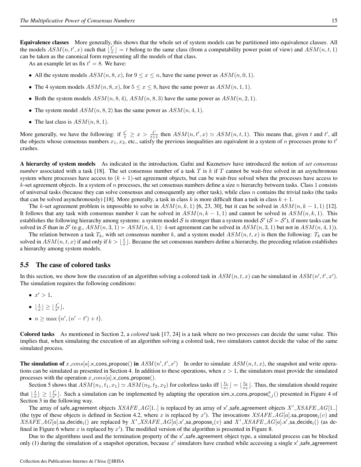Equivalence classes More generally, this shows that the whole set of system models can be partitioned into equivalence classes. All the models  $ASM(n, t', x)$  such that  $\left[\frac{t'}{x}\right]$  $\frac{t'}{x}$  = t belong to the same class (from a computability power point of view) and  $ASM(n, t, 1)$ can be taken as the canonical form representing all the models of that class.

As an example let us fix  $t' = 8$ . We have:

- All the system models  $ASM(n, 8, x)$ , for  $9 \le x \le n$ , have the same power as  $ASM(n, 0, 1)$ .
- The 4 system models  $ASM(n, 8, x)$ , for  $5 \le x \le 8$ , have the same power as  $ASM(n, 1, 1)$ .
- Both the system models  $ASM(n, 8, 4)$ ,  $ASM(n, 8, 3)$  have the same power as  $ASM(n, 2, 1)$ .
- The system model  $ASM(n, 8, 2)$  has the same power as  $ASM(n, 4, 1)$ .
- The last class is  $ASM(n, 8, 1)$ .

More generally, we have the following: if  $\frac{t'}{t} \geq x > \frac{t'}{t+1}$  then  $ASM(n, t', x) \simeq ASM(n, t, 1)$ . This means that, given t and t', all the objects whose consensus numbers  $x_1, x_2$ , etc., satisfy the previous inequalities are equivalent in a system of n processes prone to t' crashes.

A hierarchy of system models As indicated in the introduction, Gafni and Kuznetsov have introduced the notion of *set consensus number* associated with a task [18]. The set consensus number of a task T is k if T cannot be wait-free solved in an asynchronous system where processes have access to  $(k + 1)$ -set agreement objects, but can be wait-free solved when the processes have access to k-set agreement objects. In a system of n processes, the set consensus numbers define a size n hierarchy between tasks. Class 1 consists of universal tasks (because they can solve consensus and consequently any other task), while class n contains the trivial tasks (the tasks that can be solved asynchronously) [18]. More generally, a task in class k is more difficult than a task in class  $k + 1$ .

The k-set agreement problem is impossible to solve in  $ASM(n, k, 1)$  [6, 23, 30], but it can be solved in  $ASM(n, k - 1, 1)$  [12]. It follows that any task with consensus number k can be solved in  $ASM(n, k - 1, 1)$  and cannot be solved in  $ASM(n, k, 1)$ . This establishes the following hierarchy among systems: a system model S is stronger than a system model  $S'$  ( $S \succ S'$ ), if more tasks can be solved in S than in S' (e.g.,  $ASM(n, 3, 1) \succ ASM(n, 4, 1)$ : 4-set agreement can be solved in  $ASM(n, 3, 1)$  but not in  $ASM(n, 4, 1)$ ).

The relation between a task  $T_k$ , with set consensus number k, and a system model  $ASM(n, t, x)$  is then the following:  $T_k$  can be solved in  $ASM(n, t, x)$  if and only if  $k > \lfloor \frac{t}{x} \rfloor$ . Because the set consensus numbers define a hierarchy, the preceding relation establishes a hierarchy among system models.

### 5.5 The case of colored tasks

In this section, we show how the execution of an algorithm solving a colored task in  $ASM(n, t, x)$  can be simulated in  $ASM(n', t', x')$ . The simulation requires the following conditions:

- $x' > 1$ ,
- $\bullet \ \lfloor \frac{t}{x} \rfloor \geq \lfloor \frac{t'}{x'} \rfloor,$
- $n \ge \max(n', (n' t') + t).$

Colored tasks As mentioned in Section 2, a *colored* task [17, 24] is a task where no two processes can decide the same value. This implies that, when simulating the execution of an algorithm solving a colored task, two simulators cannot decide the value of the same simulated process.

The simulation of x\_cons[a].x\_cons\_propose() in  $ASM(n', t', x')$  In order to simulate  $ASM(n, t, x)$ , the snapshot and write operations can be simulated as presented in Section 4. In addition to these operations, when  $x > 1$ , the simulators must provide the simulated processes with the operation  $x \text{-}cons[a] \times cons\text{-}propose($ .

Section 5 shows that  $ASM(n_1, t_1, x_1) \simeq GSM(n_2, t_2, x_2)$  for colorless tasks iff  $\lfloor \frac{t_1}{x_1} \rfloor = \lfloor \frac{t_2}{x_2} \rfloor$ . Thus, the simulation should require that  $\lfloor \frac{t}{x} \rfloor \geq \lfloor \frac{t'}{x'} \rfloor$ . Such a simulation can be implemented by adapting the operation sim x cons propose  $a_{i,j}$  () presented in Figure 4 of Section 3 in the following way.

The array of safe\_agreement objects  $XSAFE \_\_AG[1..]$  is replaced by an array of x'\_safe\_agreement objects  $X' \_\_XSAFE \_\_AG[1..]$ (the type of these objects is defined in Section 4.2, where x is replaced by x'). The invocations  $XSAFE \, \text{A}G[a]$ .sa propose<sub>i</sub> $(v)$  and  $XSAFE \_\_AG[a]$ .sa\_decide<sub>i</sub>() are replaced by  $X' \_\_XSAFE \_\_AG[a] \_\_x'$ \_sa\_propose<sub>i</sub>(v) and  $X' \_\_XSAFE \_\_AG[a] \_\_x'$ \_sa\_decide<sub>i</sub>() (as defined in Figure 6 where x is replaced by  $x'$ ). The modified version of the algorithm is presented in Figure 8.

Due to the algorithms used and the termination property of the x'\_safe\_agreement object type, a simulated process can be blocked only (1) during the simulation of a snapshot operation, because  $x'$  simulators have crashed while accessing a single  $x'$  safe agreement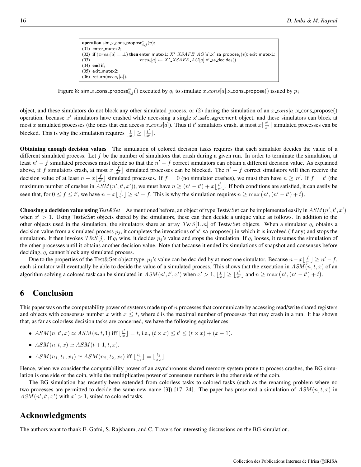```
operation sim\mathbf{x} cons propose_{i,j}^a(v):
(01) enter_mutex2:
(02) if (xres_i[a] = \bot) then enter_mutex1; X'_XSAFE_AG[a].x'_sa_propose_i(v); exit_mutex1;
(03) \operatorname{xres}_i[a] \leftarrow X'.XSAFE \_A G[a].x'.\mathsf{sa}\_ \mathsf{decide}_i()(04) end if;
(05) exit mutex2;
(06) return(xres<sub>i</sub>[a]).
```
Figure 8: sim x cons propose $_{i,j}^a()$  executed by  $q_i$  to simulate  $x \text{-}cons[a]$  x cons propose() issued by  $p_j$ 

object, and these simulators do not block any other simulated process, or (2) during the simulation of an  $x\text{-}cons[a]$ .x cons propose() operation, because  $x'$  simulators have crashed while accessing a single  $x'$  safe agreement object, and these simulators can block at most x simulated processes (the ones that can access  $x\text{-}cons[a]$ ). Thus if t' simulators crash, at most  $x\lfloor \frac{t'}{x'} \rfloor$  simulated processes can be blocked. This is why the simulation requires  $\lfloor \frac{t}{x} \rfloor \geq \lfloor \frac{t'}{x'} \rfloor$ .

Obtaining enough decision values The simulation of colored decision tasks requires that each simulator decides the value of a different simulated process. Let  $f$  be the number of simulators that crash during a given run. In order to terminate the simulation, at least  $n' - f$  simulated processes must decide so that the  $n' - f$  correct simulators can obtain a different decision value. As explained above, if f simulators crash, at most  $x \lfloor \frac{f}{x'} \rfloor$  simulated processes can be blocked. The  $n' - f$  correct simulators will then receive the decision value of at least  $n - x \lfloor \frac{f}{x'} \rfloor$  simulated processes. If  $f = 0$  (no simulator crashes), we must then have  $n \geq n'$ . If  $f = t'$  (the maximum number of crashes in  $\widehat{AM}(n', t', x')$ ), we must have  $n \ge (n' - t') + x \lfloor \frac{t'}{x'} \rfloor$ . If both conditions are satisfied, it can easily be seen that, for  $0 \le f \le t'$ , we have  $n - x \lfloor \frac{f}{x'} \rfloor \ge n' - f$ . This is why the simulation requires  $n \ge \max(n', (n' - t') + t)$ .

Choosing a decision value using *Test & Set* As mentioned before, an object of type Test & Set can be implemented easily in  $ASM(n', t', x')$ when  $x' > 1$ . Using Test&Set objects shared by the simulators, these can then decide a unique value as follows. In addition to the other objects used in the simulation, the simulators share an array  $T\&S[1..n]$  of Test&Set objects. When a simulator  $q_i$  obtains a decision value from a simulated process  $p_j$ , it completes the invocations of  $x'$ -sa-propose() in which it is involved (if any) and stops the simulation. It then invokes  $T\&S[j]$ . If  $q_i$  wins, it decides  $p_j$ 's value and stops the simulation. If  $q_i$  looses, it resumes the simulation of the other processes until it obtains another decision value. Note that because it ended its simulations of snapshot and consensus before deciding,  $q_i$  cannot block any simulated process.

Due to the properties of the Test&Set object type,  $p_j$ 's value can be decided by at most one simulator. Because  $n - x \lfloor \frac{f}{x'} \rfloor \ge n' - f$ , each simulator will eventually be able to decide the value of a simulated process. This shows that the execution in  $ASM(n, t, x)$  of an algorithm solving a colored task can be simulated in  $ASM(n', t', x')$  when  $x' > 1$ ,  $\lfloor \frac{t}{x} \rfloor \geq \lfloor \frac{t'}{x'} \rfloor$  and  $n \geq \max(n', (n' - t') + t)$ .

# 6 Conclusion

This paper was on the computability power of systems made up of  $n$  processes that communicate by accessing read/write shared registers and objects with consensus number x with  $x \leq t$ , where t is the maximal number of processes that may crash in a run. It has shown that, as far as colorless decision tasks are concerned, we have the following equivalences:

- $ASM(n, t', x) \simeq ASM(n, t, 1)$  iff  $\lfloor \frac{t'}{x} \rfloor$  $\frac{t'}{x}$ ] = t, i.e.,  $(t \times x) \le t' \le (t \times x) + (x - 1)$ .
- $ASM(n, t, x) \simeq ASM(t + 1, t, x).$
- $ASM(n_1, t_1, x_1) \simeq ASM(n_2, t_2, x_2)$  iff  $\lfloor \frac{t_1}{x_1} \rfloor = \lfloor \frac{t_2}{x_2} \rfloor$ .

Hence, when we consider the computability power of an asynchronous shared memory system prone to process crashes, the BG simulation is one side of the coin, while the multiplicative power of consensus numbers is the other side of the coin.

The BG simulation has recently been extended from colorless tasks to colored tasks (such as the renaming problem where no two processes are permitted to decide the same new name [3]) [17, 24]. The paper has presented a simulation of  $\text{ASM}(n, t, x)$  in  $ASM(n', t', x')$  with  $x' > 1$ , suited to colored tasks.

# Acknowledgments

The authors want to thank E. Gafni, S. Rajsbaum, and C. Travers for interesting discussions on the BG-simulation.